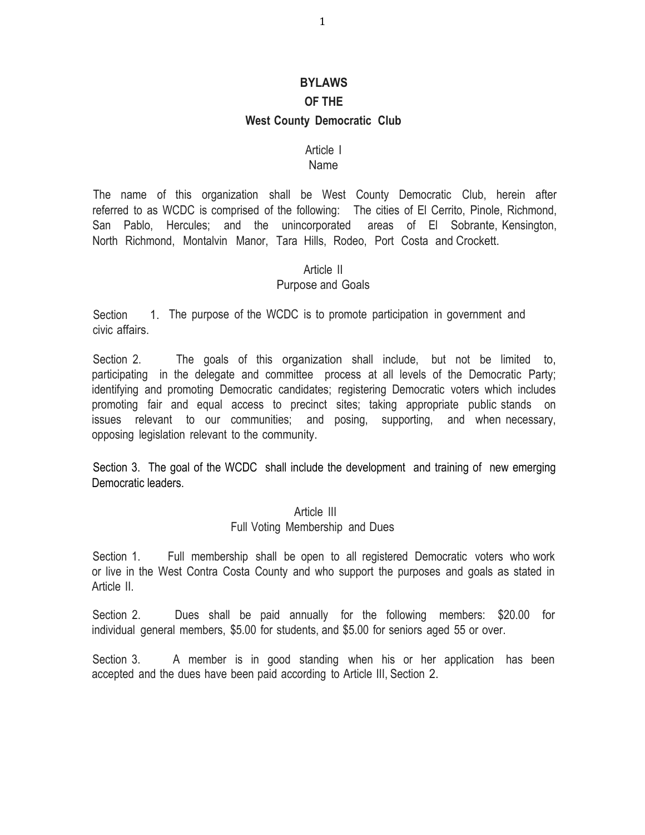## **BYLAWS**

## **OF THE**

#### **West County Democratic Club**

#### Article I

#### Name

The name of this organization shall be West County Democratic Club, herein after referred to as WCDC is comprised of the following: The cities of El Cerrito, Pinole, Richmond, San Pablo, Hercules; and the unincorporated areas of El Sobrante, Kensington, North Richmond, Montalvin Manor, Tara Hills, Rodeo, Port Costa and Crockett.

#### Article II

#### Purpose and Goals

**Section** civic affairs. 1. The purpose of the WCDC is to promote participation in government and

Section 2. The goals of this organization shall include, but not be limited to, participating in the delegate and committee process at all levels of the Democratic Party; identifying and promoting Democratic candidates; registering Democratic voters which includes promoting fair and equal access to precinct sites; taking appropriate public stands on issues relevant to our communities; and posing, supporting, and when necessary, opposing legislation relevant to the community.

Section 3. The goal of the WCDC shall include the development and training of new emerging Democratic leaders.

#### Article III

#### Full Voting Membership and Dues

Section 1. Full membership shall be open to all registered Democratic voters who work or live in the West Contra Costa County and who support the purposes and goals as stated in Article II.

Section 2. Dues shall be paid annually for the following members: \$20.00 for individual general members, \$5.00 for students, and \$5.00 for seniors aged 55 or over.

Section 3. A member is in good standing when his or her application has been accepted and the dues have been paid according to Article III, Section 2.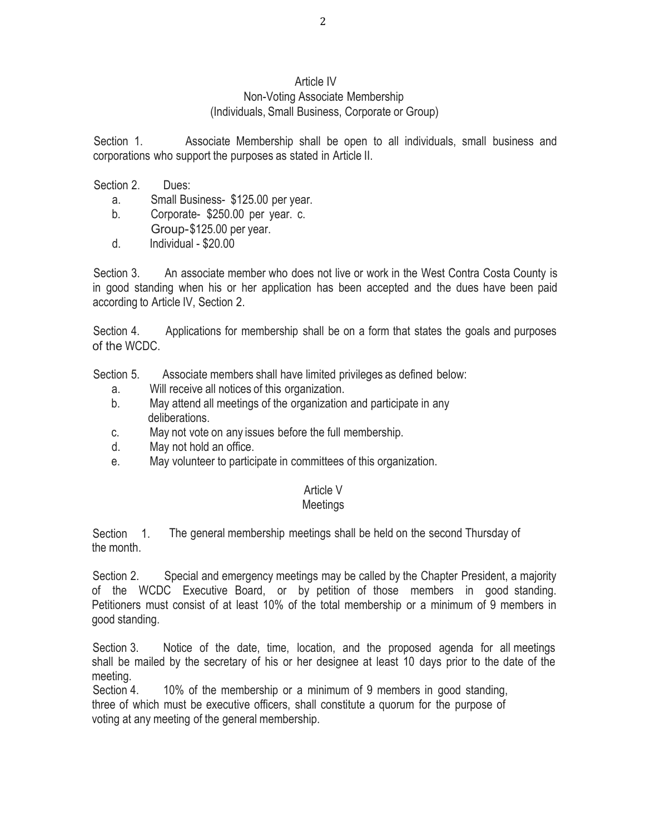# Article IV

#### Non-Voting Associate Membership (Individuals, Small Business, Corporate or Group)

Section 1. Associate Membership shall be open to all individuals, small business and corporations who support the purposes as stated in Article II.

Section 2. Dues:

- a. Small Business- \$125.00 per year.
- b. Corporate- \$250.00 per year. c. Group-\$125.00 per year.
- d. Individual \$20.00

Section 3. An associate member who does not live or work in the West Contra Costa County is in good standing when his or her application has been accepted and the dues have been paid according to Article IV, Section 2.

Section 4. Applications for membership shall be on a form that states the goals and purposes of the WCDC.

Section 5. Associate members shall have limited privileges as defined below:

- a. Will receive all notices of this organization.
- b. May attend all meetings of the organization and participate in any deliberations.
- c. May not vote on any issues before the full membership.
- d. May not hold an office.
- e. May volunteer to participate in committees of this organization.

# Article V

# Meetings

Section 1. the month. The general membership meetings shall be held on the second Thursday of

Section 2. Special and emergency meetings may be called by the Chapter President, a majority of the WCDC Executive Board, or by petition of those members in good standing. Petitioners must consist of at least 10% of the total membership or a minimum of 9 members in good standing.

Section 3. Notice of the date, time, location, and the proposed agenda for all meetings shall be mailed by the secretary of his or her designee at least 10 days prior to the date of the meeting.

Section 4. 10% of the membership or a minimum of 9 members in good standing, three of which must be executive officers, shall constitute a quorum for the purpose of voting at any meeting of the general membership.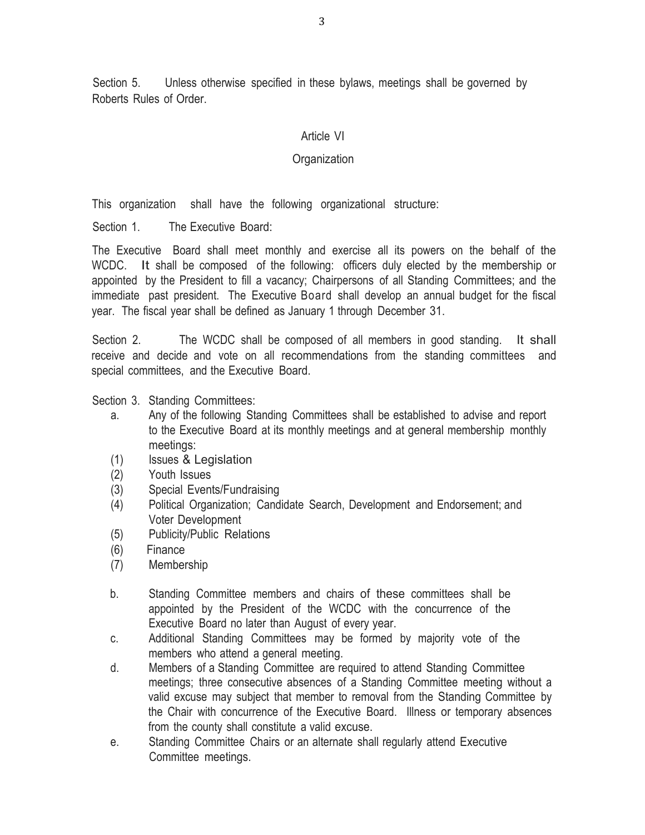Section 5. Unless otherwise specified in these bylaws, meetings shall be governed by Roberts Rules of Order.

## Article VI

## **Organization**

This organization shall have the following organizational structure:

Section 1. The Executive Board:

The Executive Board shall meet monthly and exercise all its powers on the behalf of the WCDC. It shall be composed of the following: officers duly elected by the membership or appointed by the President to fill a vacancy; Chairpersons of all Standing Committees; and the immediate past president. The Executive Board shall develop an annual budget for the fiscal year. The fiscal year shall be defined as January 1 through December 31.

Section 2. The WCDC shall be composed of all members in good standing. It shall receive and decide and vote on all recommendations from the standing committees and special committees, and the Executive Board.

Section 3. Standing Committees:

- a. Any of the following Standing Committees shall be established to advise and report to the Executive Board at its monthly meetings and at general membership monthly meetings:
- (1) Issues & Legislation
- (2) Youth Issues
- (3) Special Events/Fundraising
- (4) Political Organization; Candidate Search, Development and Endorsement; and Voter Development
- (5) Publicity/Public Relations
- (6) Finance
- (7) Membership
- b. Standing Committee members and chairs of these committees shall be appointed by the President of the WCDC with the concurrence of the Executive Board no later than August of every year.
- c. Additional Standing Committees may be formed by majority vote of the members who attend a general meeting.
- d. Members of a Standing Committee are required to attend Standing Committee meetings; three consecutive absences of a Standing Committee meeting without a valid excuse may subject that member to removal from the Standing Committee by the Chair with concurrence of the Executive Board. Illness or temporary absences from the county shall constitute a valid excuse.
- e. Standing Committee Chairs or an alternate shall regularly attend Executive Committee meetings.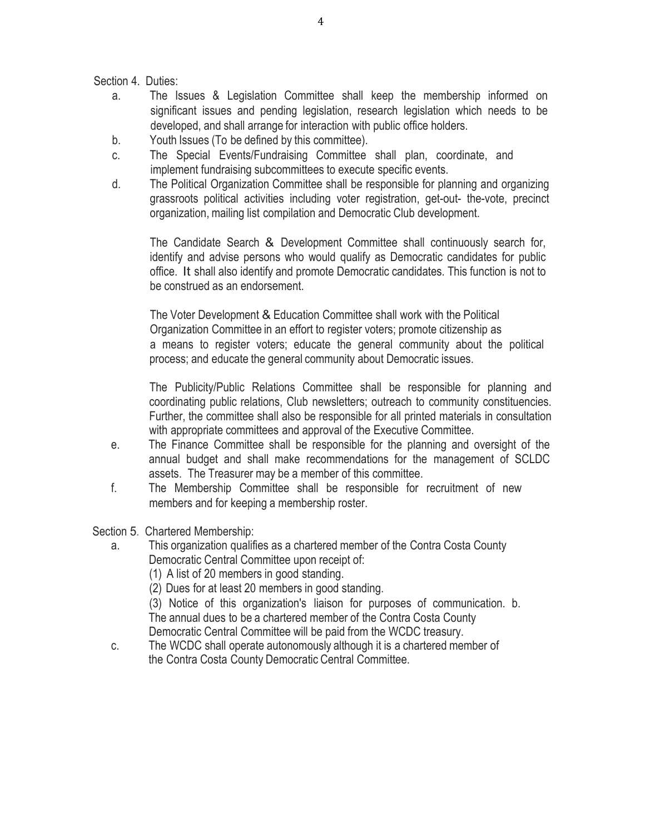Section 4. Duties:

- a. The Issues & Legislation Committee shall keep the membership informed on significant issues and pending legislation, research legislation which needs to be developed, and shall arrange for interaction with public office holders.
- b. Youth Issues (To be defined by this committee).
- c. The Special Events/Fundraising Committee shall plan, coordinate, and implement fundraising subcommittees to execute specific events.
- d. The Political Organization Committee shall be responsible for planning and organizing grassroots political activities including voter registration, get-out- the-vote, precinct organization, mailing list compilation and Democratic Club development.

The Candidate Search & Development Committee shall continuously search for, identify and advise persons who would qualify as Democratic candidates for public office. It shall also identify and promote Democratic candidates. This function is not to be construed as an endorsement.

The Voter Development & Education Committee shall work with the Political Organization Committee in an effort to register voters; promote citizenship as a means to register voters; educate the general community about the political process; and educate the general community about Democratic issues.

The Publicity/Public Relations Committee shall be responsible for planning and coordinating public relations, Club newsletters; outreach to community constituencies. Further, the committee shall also be responsible for all printed materials in consultation with appropriate committees and approval of the Executive Committee.

- e. The Finance Committee shall be responsible for the planning and oversight of the annual budget and shall make recommendations for the management of SCLDC assets. The Treasurer may be a member of this committee.
- f. The Membership Committee shall be responsible for recruitment of new members and for keeping a membership roster.

Section 5. Chartered Membership:

a. This organization qualifies as a chartered member of the Contra Costa County Democratic Central Committee upon receipt of:

(1) A list of 20 members in good standing.

(2) Dues for at least 20 members in good standing.

(3) Notice of this organization's liaison for purposes of communication. b. The annual dues to be a chartered member of the Contra Costa County Democratic Central Committee will be paid from the WCDC treasury.

c. The WCDC shall operate autonomously although it is a chartered member of the Contra Costa County Democratic Central Committee.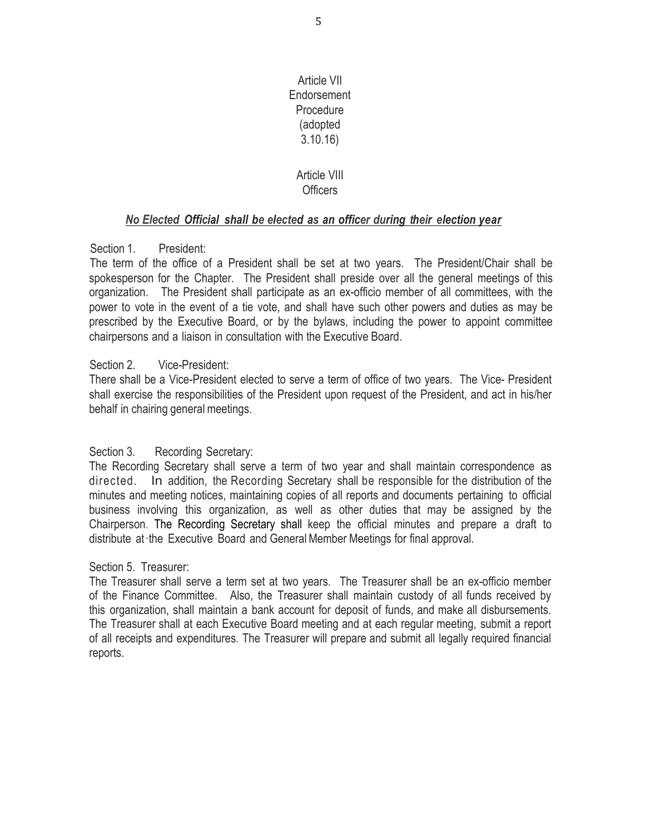Article VII Endorsement **Procedure** (adopted 3.10.16)

## Article VIII **Officers**

## *No Elected Official shall be elected as an officer during their election year*

## Section 1. President:

The term of the office of a President shall be set at two years. The President/Chair shall be spokesperson for the Chapter. The President shall preside over all the general meetings of this organization. The President shall participate as an ex-officio member of all committees, with the power to vote in the event of a tie vote, and shall have such other powers and duties as may be prescribed by the Executive Board, or by the bylaws, including the power to appoint committee chairpersons and a liaison in consultation with the Executive Board.

## Section 2. Vice-President:

There shall be a Vice-President elected to serve a term of office of two years. The Vice- President shall exercise the responsibilities of the President upon request of the President, and act in his/her behalf in chairing general meetings.

## Section 3. Recording Secretary:

The Recording Secretary shall serve a term of two year and shall maintain correspondence as directed. In addition, the Recording Secretary shall be responsible for the distribution of the minutes and meeting notices, maintaining copies of all reports and documents pertaining to official business involving this organization, as well as other duties that may be assigned by the Chairperson. The Recording Secretary shall keep the official minutes and prepare a draft to distribute at·the Executive Board and GeneralMember Meetings for final approval.

## Section 5. Treasurer:

The Treasurer shall serve a term set at two years. The Treasurer shall be an ex-officio member of the Finance Committee. Also, the Treasurer shall maintain custody of all funds received by this organization, shall maintain a bank account for deposit of funds, and make all disbursements. The Treasurer shall at each Executive Board meeting and at each regular meeting, submit a report of all receipts and expenditures. The Treasurer will prepare and submit all legally required financial reports.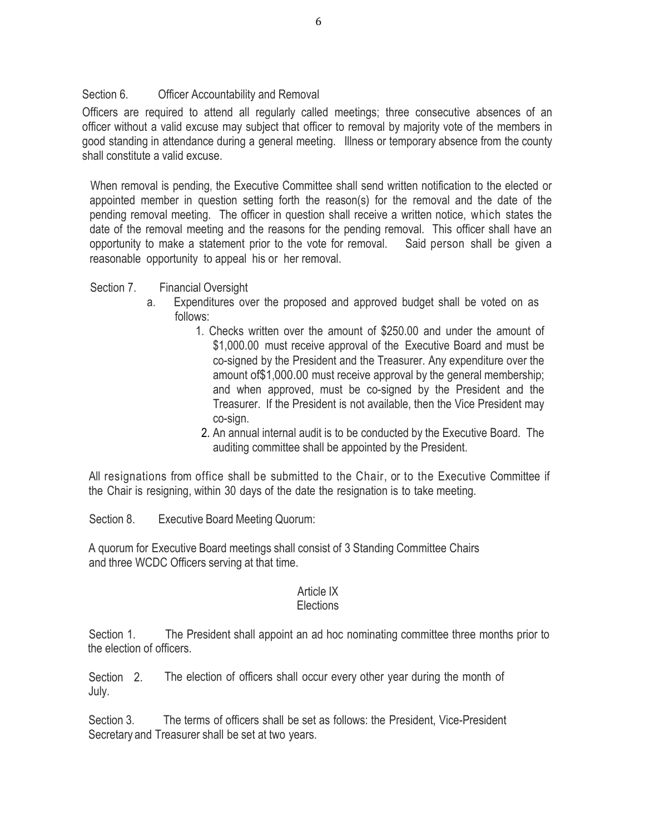## Section 6. Officer Accountability and Removal

Officers are required to attend all regularly called meetings; three consecutive absences of an officer without a valid excuse may subject that officer to removal by majority vote of the members in good standing in attendance during a general meeting. Illness or temporary absence from the county shall constitute a valid excuse.

When removal is pending, the Executive Committee shall send written notification to the elected or appointed member in question setting forth the reason(s) for the removal and the date of the pending removal meeting. The officer in question shall receive a written notice, which states the date of the removal meeting and the reasons for the pending removal. This officer shall have an opportunity to make a statement prior to the vote for removal. Said person shall be given a reasonable opportunity to appeal his or her removal.

Section 7. Financial Oversight

- a. Expenditures over the proposed and approved budget shall be voted on as follows:
	- 1. Checks written over the amount of \$250.00 and under the amount of \$1,000.00 must receive approval of the Executive Board and must be co-signed by the President and the Treasurer. Any expenditure over the amount of\$1,000.00 must receive approval by the general membership; and when approved, must be co-signed by the President and the Treasurer. If the President is not available, then the Vice President may co-sign.
	- 2. An annual internal audit is to be conducted by the Executive Board. The auditing committee shall be appointed by the President.

All resignations from office shall be submitted to the Chair, or to the Executive Committee if the Chair is resigning, within 30 days of the date the resignation is to take meeting.

Section 8. Executive Board Meeting Quorum:

A quorum for Executive Board meetings shall consist of 3 Standing Committee Chairs and three WCDC Officers serving at that time.

# Article IX

# **Elections**

Section 1. The President shall appoint an ad hoc nominating committee three months prior to the election of officers.

Section 2. July. The election of officers shall occur every other year during the month of

Section 3. The terms of officers shall be set as follows: the President, Vice-President Secretary and Treasurer shall be set at two years.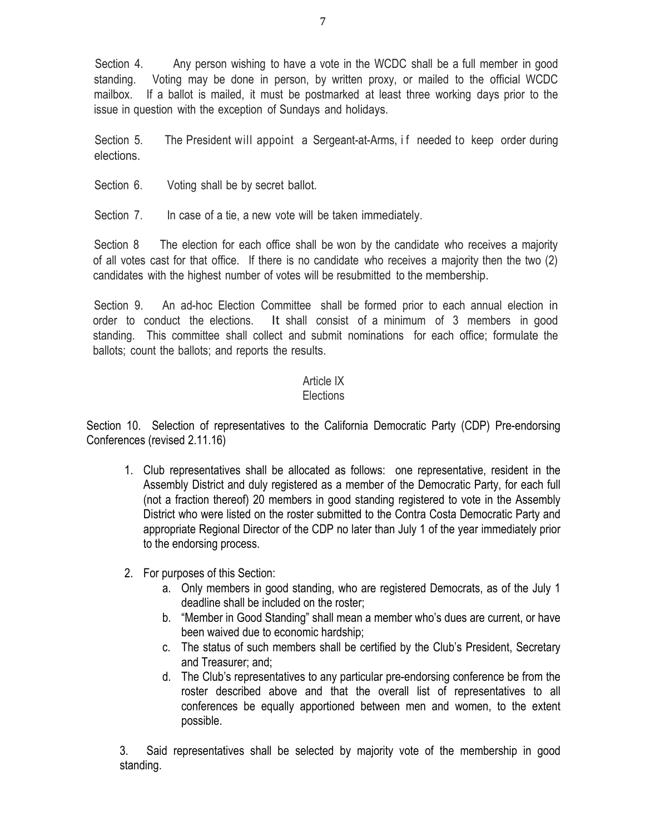Section 4. Any person wishing to have a vote in the WCDC shall be a full member in good standing. Voting may be done in person, by written proxy, or mailed to the official WCDC mailbox. If a ballot is mailed, it must be postmarked at least three working days prior to the issue in question with the exception of Sundays and holidays.

Section 5. The President will appoint a Sergeant-at-Arms, if needed to keep order during elections.

Section 6. Voting shall be by secret ballot.

Section 7. In case of a tie, a new vote will be taken immediately.

Section 8 The election for each office shall be won by the candidate who receives a majority of all votes cast for that office. If there is no candidate who receives a majority then the two (2) candidates with the highest number of votes will be resubmitted to the membership.

Section 9. An ad-hoc Election Committee shall be formed prior to each annual election in order to conduct the elections. It shall consist of a minimum of 3 members in good standing. This committee shall collect and submit nominations for each office; formulate the ballots; count the ballots; and reports the results.

# Article IX

# **Elections**

Section 10. Selection of representatives to the California Democratic Party (CDP) Pre-endorsing Conferences (revised 2.11.16)

- 1. Club representatives shall be allocated as follows: one representative, resident in the Assembly District and duly registered as a member of the Democratic Party, for each full (not a fraction thereof) 20 members in good standing registered to vote in the Assembly District who were listed on the roster submitted to the Contra Costa Democratic Party and appropriate Regional Director of the CDP no later than July 1 of the year immediately prior to the endorsing process.
- 2. For purposes of this Section:
	- a. Only members in good standing, who are registered Democrats, as of the July 1 deadline shall be included on the roster;
	- b. "Member in Good Standing" shall mean a member who's dues are current, or have been waived due to economic hardship;
	- c. The status of such members shall be certified by the Club's President, Secretary and Treasurer; and;
	- d. The Club's representatives to any particular pre-endorsing conference be from the roster described above and that the overall list of representatives to all conferences be equally apportioned between men and women, to the extent possible.

3. Said representatives shall be selected by majority vote of the membership in good standing.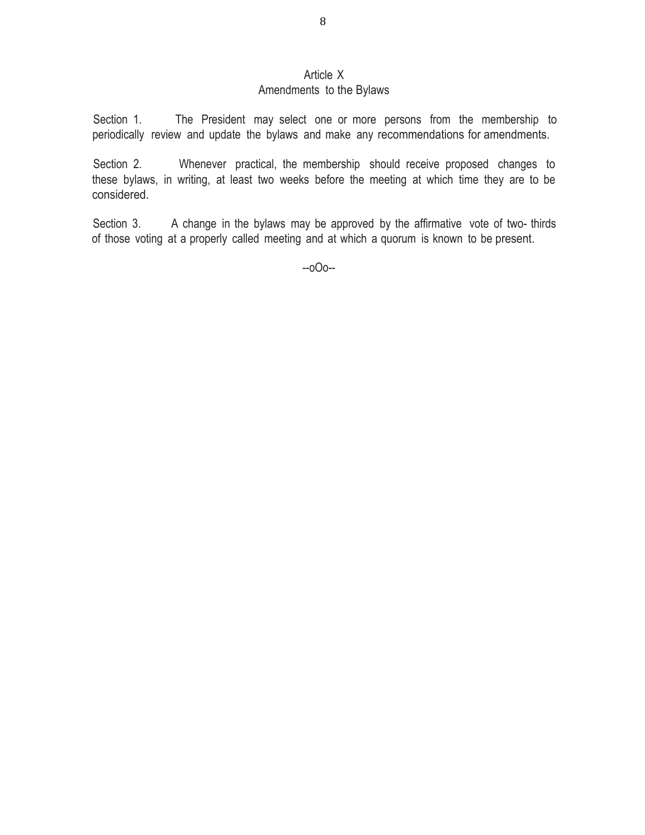## Article X

# Amendments to the Bylaws

Section 1. The President may select one or more persons from the membership to periodically review and update the bylaws and make any recommendations for amendments.

Section 2. Whenever practical, the membership should receive proposed changes to these bylaws, in writing, at least two weeks before the meeting at which time they are to be considered.

Section 3. A change in the bylaws may be approved by the affirmative vote of two- thirds of those voting at a properly called meeting and at which a quorum is known to be present.

--oOo--